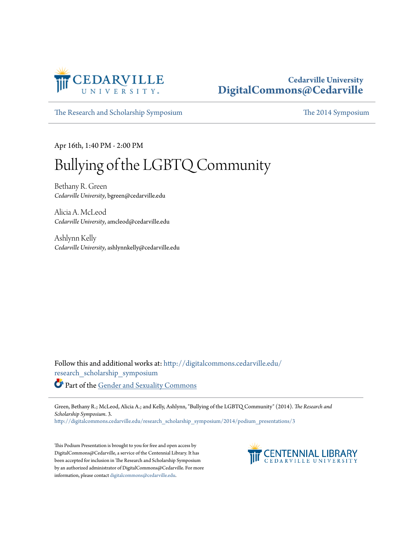

#### **Cedarville University [DigitalCommons@Cedarville](http://digitalcommons.cedarville.edu?utm_source=digitalcommons.cedarville.edu%2Fresearch_scholarship_symposium%2F2014%2Fpodium_presentations%2F3&utm_medium=PDF&utm_campaign=PDFCoverPages)**

[The Research and Scholarship Symposium](http://digitalcommons.cedarville.edu/research_scholarship_symposium?utm_source=digitalcommons.cedarville.edu%2Fresearch_scholarship_symposium%2F2014%2Fpodium_presentations%2F3&utm_medium=PDF&utm_campaign=PDFCoverPages) [The 2014 Symposium](http://digitalcommons.cedarville.edu/research_scholarship_symposium/2014?utm_source=digitalcommons.cedarville.edu%2Fresearch_scholarship_symposium%2F2014%2Fpodium_presentations%2F3&utm_medium=PDF&utm_campaign=PDFCoverPages)

Apr 16th, 1:40 PM - 2:00 PM

### Bullying of the LGBTQ Community

Bethany R. Green *Cedarville University*, bgreen@cedarville.edu

Alicia A. McLeod *Cedarville University*, amcleod@cedarville.edu

Ashlynn Kelly *Cedarville University*, ashlynnkelly@cedarville.edu

Follow this and additional works at: [http://digitalcommons.cedarville.edu/](http://digitalcommons.cedarville.edu/research_scholarship_symposium?utm_source=digitalcommons.cedarville.edu%2Fresearch_scholarship_symposium%2F2014%2Fpodium_presentations%2F3&utm_medium=PDF&utm_campaign=PDFCoverPages) [research\\_scholarship\\_symposium](http://digitalcommons.cedarville.edu/research_scholarship_symposium?utm_source=digitalcommons.cedarville.edu%2Fresearch_scholarship_symposium%2F2014%2Fpodium_presentations%2F3&utm_medium=PDF&utm_campaign=PDFCoverPages) Part of the [Gender and Sexuality Commons](http://network.bepress.com/hgg/discipline/420?utm_source=digitalcommons.cedarville.edu%2Fresearch_scholarship_symposium%2F2014%2Fpodium_presentations%2F3&utm_medium=PDF&utm_campaign=PDFCoverPages)

Green, Bethany R.; McLeod, Alicia A.; and Kelly, Ashlynn, "Bullying of the LGBTQ Community" (2014). *The Research and Scholarship Symposium*. 3.

[http://digitalcommons.cedarville.edu/research\\_scholarship\\_symposium/2014/podium\\_presentations/3](http://digitalcommons.cedarville.edu/research_scholarship_symposium/2014/podium_presentations/3?utm_source=digitalcommons.cedarville.edu%2Fresearch_scholarship_symposium%2F2014%2Fpodium_presentations%2F3&utm_medium=PDF&utm_campaign=PDFCoverPages)

This Podium Presentation is brought to you for free and open access by DigitalCommons@Cedarville, a service of the Centennial Library. It has been accepted for inclusion in The Research and Scholarship Symposium by an authorized administrator of DigitalCommons@Cedarville. For more information, please contact [digitalcommons@cedarville.edu.](mailto:digitalcommons@cedarville.edu)

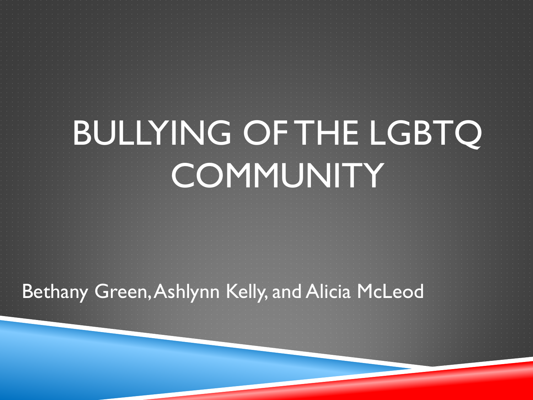# BULLYING OF THE LGBTQ **COMMUNITY**

Bethany Green, Ashlynn Kelly, and Alicia McLeod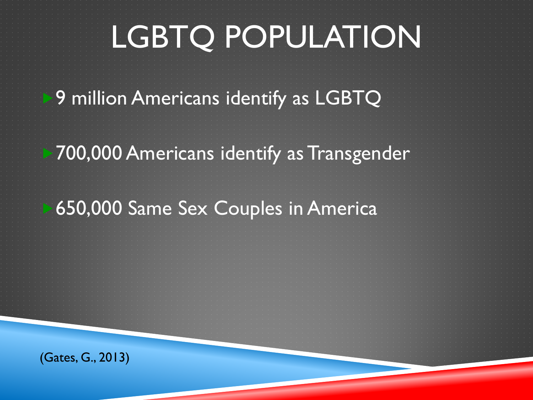# LGBTQ POPULATION

9 million Americans identify as LGBTQ

700,000 Americans identify as Transgender

650,000 Same Sex Couples in America

(Gates, G., 2013)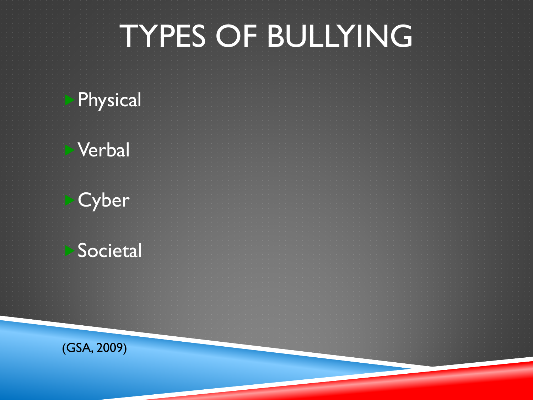# TYPES OF BULLYING

### Physical

### Verbal

### **Cyber**

### **Societal**

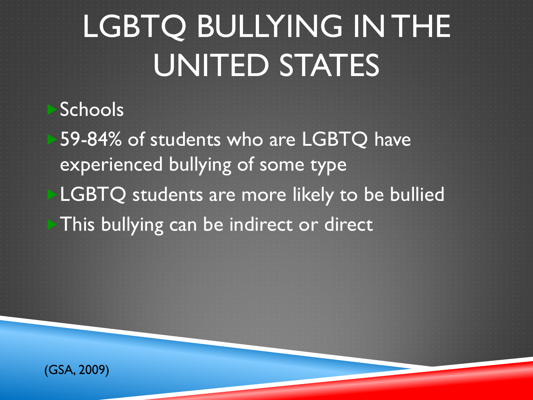# LGBTQ BULLYING IN THE UNITED STATES

Schools 59-84% of students who are LGBTQ have experienced bullying of some type LGBTQ students are more likely to be bullied This bullying can be indirect or direct

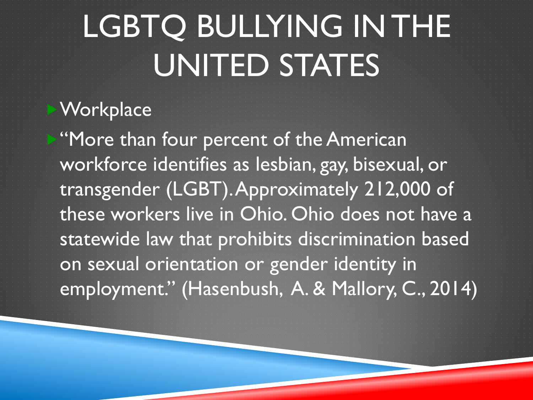# LGBTQ BULLYING IN THE UNITED STATES

### **Workplace**

"More than four percent of the American workforce identifies as lesbian, gay, bisexual, or transgender (LGBT). Approximately 212,000 of these workers live in Ohio. Ohio does not have a statewide law that prohibits discrimination based on sexual orientation or gender identity in employment." (Hasenbush, A. & Mallory, C., 2014)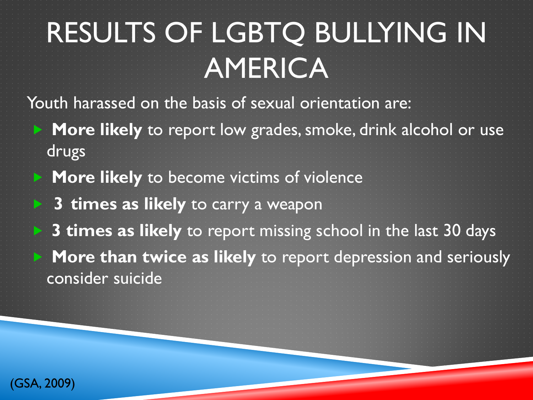# RESULTS OF LGBTQ BULLYING IN AMERICA

Youth harassed on the basis of sexual orientation are:

- **More likely** to report low grades, smoke, drink alcohol or use drugs
- **More likely** to become victims of violence
	- **3 times as likely** to carry a weapon
- **3 times as likely** to report missing school in the last 30 days **More than twice as likely** to report depression and seriously consider suicide

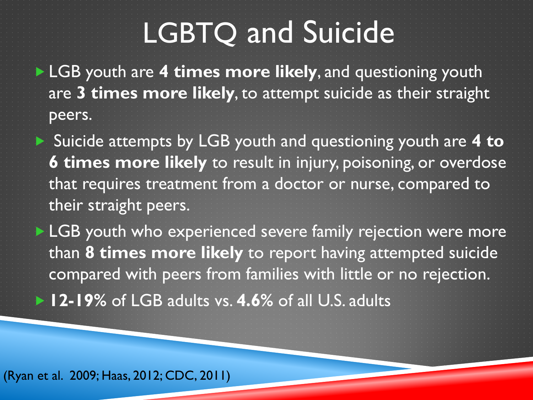## LGBTQ and Suicide

**LGB** youth are 4 times more likely, and questioning youth are **3 times more likely**, to attempt suicide as their straight peers.

▶ Suicide attempts by LGB youth and questioning youth are 4 to **6 times more likely** to result in injury, poisoning, or overdose that requires treatment from a doctor or nurse, compared to their straight peers.

**LGB** youth who experienced severe family rejection were more than **8 times more likely** to report having attempted suicide compared with peers from families with little or no rejection. **12-19%** of LGB adults vs. **4.6%** of all U.S. adults

(Ryan et al. 2009; Haas, 2012; CDC, 2011)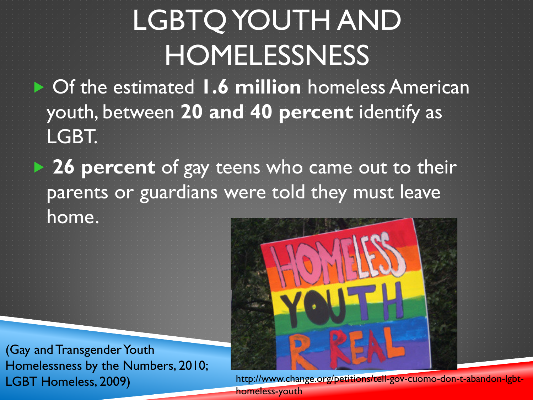# LGBTQ YOUTH AND **HOMELESSNESS**

▶ Of the estimated **1.6 million** homeless American youth, between **20 and 40 percent** identify as LGBT.

**26 percent** of gay teens who came out to their parents or guardians were told they must leave home.

(Gay and Transgender Youth Homelessness by the Numbers, 2010; LGBT Homeless, 2009)



http://www.change.org/petitions/tell-gov-cuomo-don-t-abandon-lgbthomeless-youth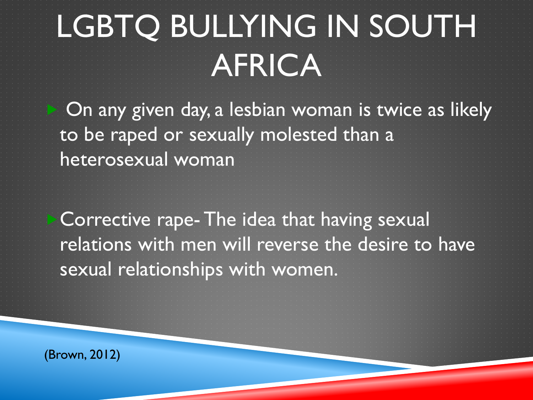# LGBTQ BULLYING IN SOUTH AFRICA

 On any given day, a lesbian woman is twice as likely to be raped or sexually molested than a heterosexual woman

Corrective rape- The idea that having sexual relations with men will reverse the desire to have sexual relationships with women.

(Brown, 2012)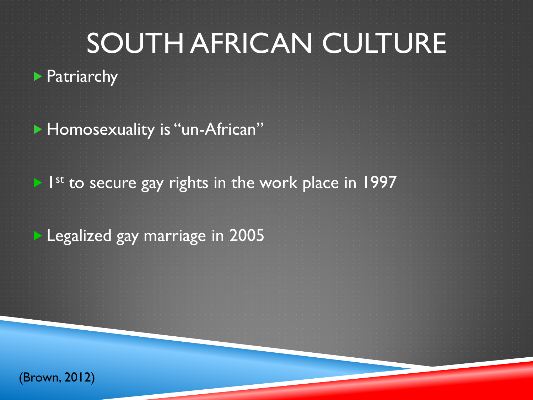## SOUTH AFRICAN CULTURE

▶ Patriarchy

**Homosexuality is "un-African"** 

 $\blacktriangleright$  1<sup>st</sup> to secure gay rights in the work place in 1997

**Legalized gay marriage in 2005** 

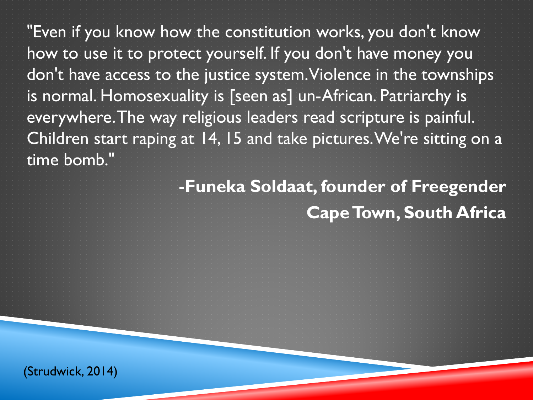"Even if you know how the constitution works, you don't know how to use it to protect yourself. If you don't have money you don't have access to the justice system. Violence in the townships is normal. Homosexuality is [seen as] un-African. Patriarchy is everywhere. The way religious leaders read scripture is painful. Children start raping at 14, 15 and take pictures. We're sitting on a time bomb."

### **-Funeka Soldaat, founder of Freegender Cape Town, South Africa**

(Strudwick, 2014)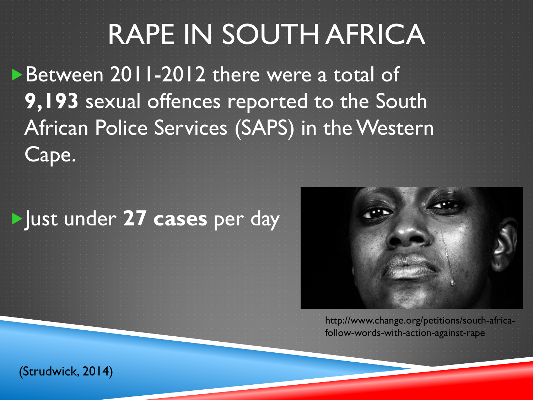## RAPE IN SOUTH AFRICA

Between 2011-2012 there were a total of **9,193** sexual offences reported to the South African Police Services (SAPS) in the Western

### Just under **27 cases** per day



http://www.change.org/petitions/south-africafollow-words-with-action-against-rape

(Strudwick, 2014)

Cape.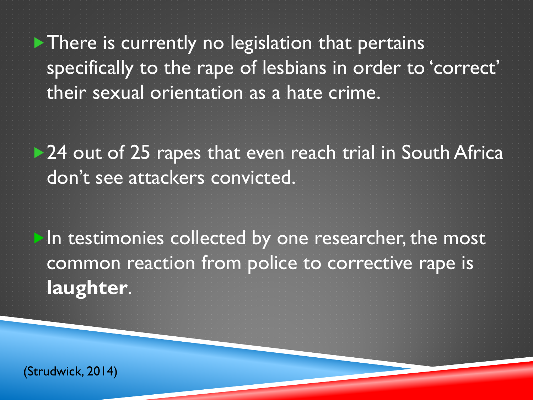$\blacktriangleright$  There is currently no legislation that pertains specifically to the rape of lesbians in order to 'correct' their sexual orientation as a hate crime.

▶ 24 out of 25 rapes that even reach trial in South Africa don't see attackers convicted.

In testimonies collected by one researcher, the most common reaction from police to corrective rape is **laughter**.

(Strudwick, 2014)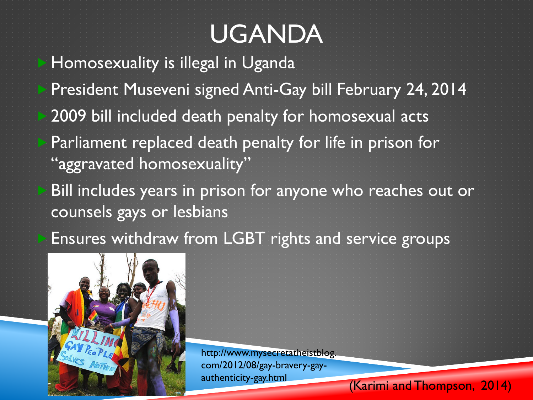### UGANDA

 Homosexuality is illegal in Uganda President Museveni signed Anti-Gay bill February 24, 2014 2009 bill included death penalty for homosexual acts Parliament replaced death penalty for life in prison for "aggravated homosexuality" Bill includes years in prison for anyone who reaches out or

counsels gays or lesbians

Ensures withdraw from LGBT rights and service groups



http://www.mysecretatheistblog. com/2012/08/gay-bravery-gay-

authenticity-gay.html (Karimi and Thompson, 2014)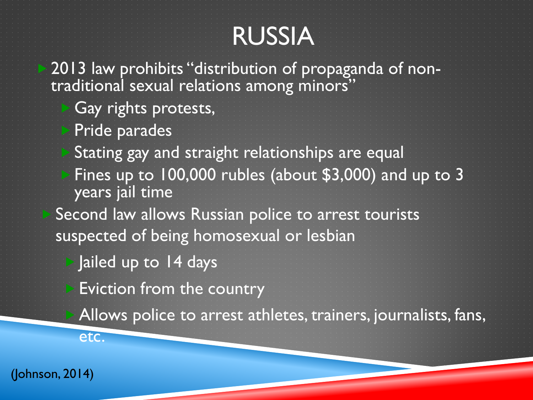### RUSSIA

2013 law prohibits "distribution of propaganda of non- traditional sexual relations among minors"

- Gay rights protests,
- Pride parades
- Stating gay and straight relationships are equal
- Fines up to 100,000 rubles (about \$3,000) and up to 3 years jail time
- Second law allows Russian police to arrest tourists suspected of being homosexual or lesbian
	- $\triangleright$  Jailed up to 14 days
		- Eviction from the country
		- Allows police to arrest athletes, trainers, journalists, fans,

(Johnson, 2014)

etc.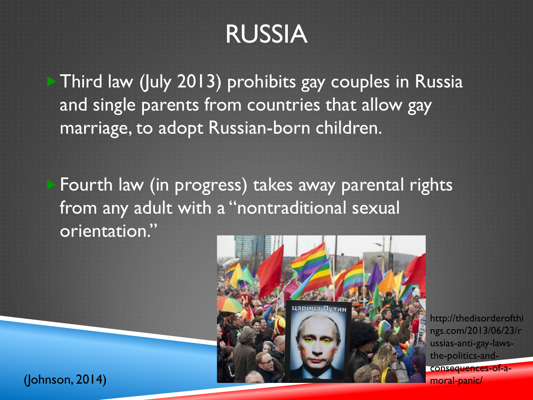### RUSSIA

Third law (July 2013) prohibits gay couples in Russia and single parents from countries that allow gay marriage, to adopt Russian-born children.

Fourth law (in progress) takes away parental rights from any adult with a "nontraditional sexual orientation."



http://thedisorderofthi ngs.com/2013/06/23/r ussias-anti-gay-lawsthe-politics-andconsequences-of-a-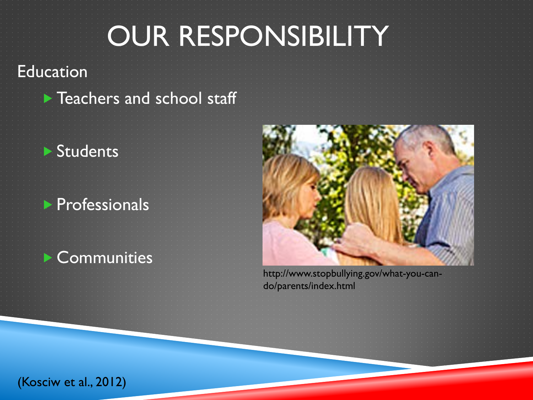### OUR RESPONSIBILITY

#### Education

**Teachers and school staff** 

#### **Students**

### **Professionals**

### **Communities**



http://www.stopbullying.gov/what-you-cando/parents/index.html

(Kosciw et al., 2012)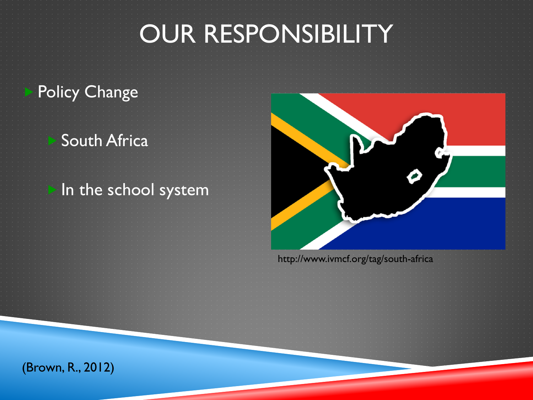### OUR RESPONSIBILITY

### Policy Change

### South Africa

#### In the school system

http://www.ivmcf.org/tag/south-africa

(Brown, R., 2012)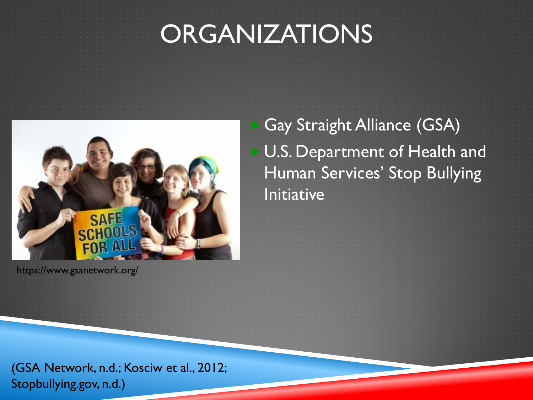### ORGANIZATIONS



https://www.gsanetwork.org/

 Gay Straight Alliance (GSA) U.S. Department of Health and Human Services' Stop Bullying Initiative

(GSA Network, n.d.; Kosciw et al., 2012; Stopbullying.gov, n.d.)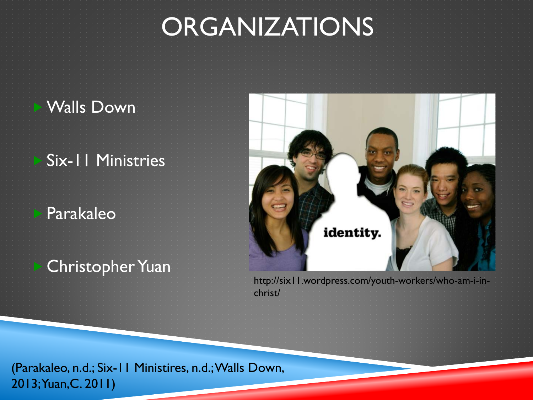### **ORGANIZATIONS**

### Walls Down

### Six-11 Ministries

#### Parakaleo

### Christopher Yuan



http://six11.wordpress.com/youth-workers/who-am-i-inchrist/

(Parakaleo, n.d.; Six-11 Ministires, n.d.; Walls Down, 2013; Yuan,C. 2011)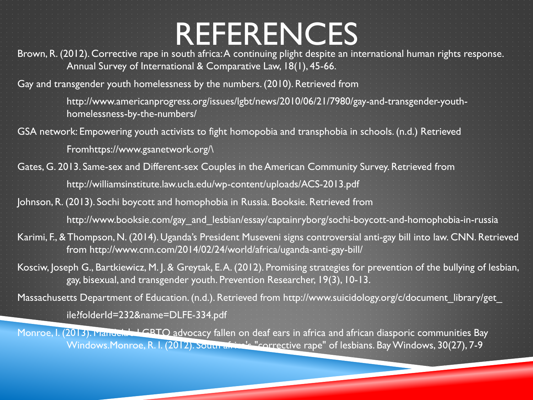## REFERENCES

Brown, R. (2012). Corrective rape in south africa: A continuing plight despite an international human rights response. Annual Survey of International & Comparative Law, 18(1), 45-66.

Gay and transgender youth homelessness by the numbers. (2010). Retrieved from

http://www.americanprogress.org/issues/lgbt/news/2010/06/21/7980/gay-and-transgender-youthhomelessness-by-the-numbers/

GSA network: Empowering youth activists to fight homopobia and transphobia in schools. (n.d.) Retrieved

Fromhttps://www.gsanetwork.org/\

Gates, G. 2013. Same-sex and Different-sex Couples in the American Community Survey. Retrieved from

http://williamsinstitute.law.ucla.edu/wp-content/uploads/ACS-2013.pdf

- Johnson, R. (2013). Sochi boycott and homophobia in Russia. Booksie. Retrieved from http://www.booksie.com/gay\_and\_lesbian/essay/captainryborg/sochi-boycott-and-homophobia-in-russia
- Karimi, F., & Thompson, N. (2014). Uganda's President Museveni signs controversial anti-gay bill into law. CNN. Retrieved
	- from http://www.cnn.com/2014/02/24/world/africa/uganda-anti-gay-bill/
- Kosciw, Joseph G., Bartkiewicz, M. J. & Greytak, E. A. (2012). Promising strategies for prevention of the bullying of lesbian, gay, bisexual, and transgender youth. Prevention Researcher, 19(3), 10-13.
- Massachusetts Department of Education. (n.d.). Retrieved from http://www.suicidology.org/c/document\_library/get\_ ile?folderId=232&name=DLFE-334.pdf
- Monroe, I. (2013). Mandela's LGBTO advocacy fallen on deaf ears in africa and african diasporic communities Bay Windows.Monroe, R. I. (2012). South africa's "corrective rape" of lesbians. Bay Windows, 30(27), 7-9